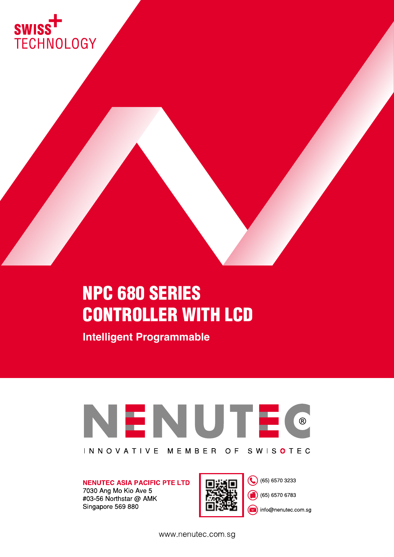

# NPC 680 SERIES CONTROLLER WITH LCD

**Intelligent Programmable**



**NENUTEC ASIA PACIFIC PTE LTD** 7030 Ang Mo Kio Ave 5

#03-56 Northstar @ AMK Singapore 569 880



(65) 6570 3233

(同) (65) 6570 6783

nfo@nenutec.com.sg

www.nenutec.com.sg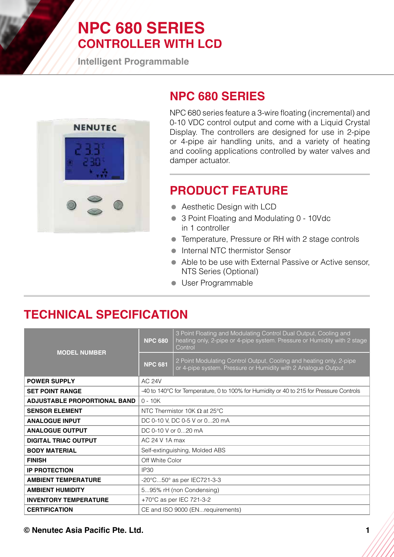## **NPC 680 SERIES CONTROLLER WITH LCD**

**Intelligent Programmable**



## **NPC 680 SERIES**

NPC 680 series feature a 3-wire floating (incremental) and 0-10 VDC control output and come with a Liquid Crystal Display. The controllers are designed for use in 2-pipe or 4-pipe air handling units, and a variety of heating and cooling applications controlled by water valves and damper actuator.

## **PRODUCT FEATURE**

- **Aesthetic Design with LCD**
- 3 Point Floating and Modulating 0 10Vdc in 1 controller
- Temperature, Pressure or RH with 2 stage controls
- **Internal NTC thermistor Sensor**
- Able to be use with External Passive or Active sensor, NTS Series (Optional)
- **User Programmable**

#### **TECHNICAL SPECIFICATION**

| <b>MODEL NUMBER</b>                 | <b>NPC 680</b>                      | 3 Point Floating and Modulating Control Dual Output, Cooling and<br>heating only, 2-pipe or 4-pipe system. Pressure or Humidity with 2 stage<br>Control |
|-------------------------------------|-------------------------------------|---------------------------------------------------------------------------------------------------------------------------------------------------------|
|                                     | <b>NPC 681</b>                      | 2 Point Modulating Control Output, Cooling and heating only, 2-pipe<br>or 4-pipe system. Pressure or Humidity with 2 Analogue Output                    |
| <b>POWER SUPPLY</b>                 | <b>AC 24V</b>                       |                                                                                                                                                         |
| <b>SET POINT RANGE</b>              |                                     | -40 to 140°C for Temperature, 0 to 100% for Humidity or 40 to 215 for Pressure Controls                                                                 |
| <b>ADJUSTABLE PROPORTIONAL BAND</b> | $0 - 10K$                           |                                                                                                                                                         |
| <b>SENSOR ELEMENT</b>               | NTC Thermistor 10K $\Omega$ at 25°C |                                                                                                                                                         |
| <b>ANALOGUE INPUT</b>               |                                     | DC 0-10 V, DC 0-5 V or 020 mA                                                                                                                           |
| <b>ANALOGUE OUTPUT</b>              | DC 0-10 V or 020 mA                 |                                                                                                                                                         |
| <b>DIGITAL TRIAC OUTPUT</b>         | AC 24 V 1A max                      |                                                                                                                                                         |
| <b>BODY MATERIAL</b>                | Self-extinguishing, Molded ABS      |                                                                                                                                                         |
| <b>FINISH</b>                       | Off White Color                     |                                                                                                                                                         |
| <b>IP PROTECTION</b>                | <b>IP30</b>                         |                                                                                                                                                         |
| <b>AMBIENT TEMPERATURE</b>          | -20°C50° as per IEC721-3-3          |                                                                                                                                                         |
| <b>AMBIENT HUMIDITY</b>             | 595% rH (non Condensing)            |                                                                                                                                                         |
| <b>INVENTORY TEMPERATURE</b>        | +70°C as per IEC 721-3-2            |                                                                                                                                                         |
| <b>CERTIFICATION</b>                | CE and ISO 9000 (ENrequirements)    |                                                                                                                                                         |